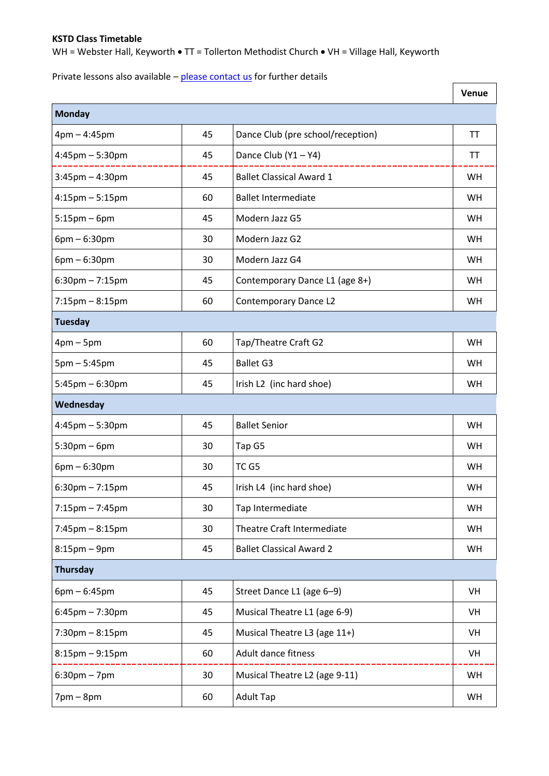## **KSTD Class Timetable**

WH = Webster Hall, Keyworth • TT = Tollerton Methodist Church • VH = Village Hall, Keyworth

Private lessons also available – [please contact us](mailto:contactkstd@gmail.com) for further details

|                                   |    |                                   | <b>Venue</b> |
|-----------------------------------|----|-----------------------------------|--------------|
| Monday                            |    |                                   |              |
| $4pm - 4:45pm$                    | 45 | Dance Club (pre school/reception) | <b>TT</b>    |
| $4:45$ pm – 5:30pm                | 45 | Dance Club $(Y1 - Y4)$            | <b>TT</b>    |
| $3:45$ pm $-4:30$ pm              | 45 | <b>Ballet Classical Award 1</b>   | WH           |
| $4:15$ pm $-5:15$ pm              | 60 | <b>Ballet Intermediate</b>        | <b>WH</b>    |
| $5:15$ pm – 6pm                   | 45 | Modern Jazz G5                    | <b>WH</b>    |
| $6pm - 6:30pm$                    | 30 | Modern Jazz G2                    | WH           |
| $6pm - 6:30pm$                    | 30 | Modern Jazz G4                    | <b>WH</b>    |
| $6:30$ pm $-7:15$ pm              | 45 | Contemporary Dance L1 (age 8+)    | <b>WH</b>    |
| $7:15 \text{pm} - 8:15 \text{pm}$ | 60 | Contemporary Dance L2             | <b>WH</b>    |
| <b>Tuesday</b>                    |    |                                   |              |
| $4$ pm – 5pm                      | 60 | Tap/Theatre Craft G2              | WH           |
| $5pm - 5:45pm$                    | 45 | <b>Ballet G3</b>                  | <b>WH</b>    |
| $5:45$ pm $-6:30$ pm              | 45 | Irish L2 (inc hard shoe)          | WH           |
| Wednesday                         |    |                                   |              |
| $4:45$ pm $-5:30$ pm              | 45 | <b>Ballet Senior</b>              | <b>WH</b>    |
| $5:30$ pm – 6pm                   | 30 | Tap G5                            | <b>WH</b>    |
| $6pm - 6:30pm$                    | 30 | TC G5                             | <b>WH</b>    |
| $6:30$ pm $-7:15$ pm              | 45 | Irish L4 (inc hard shoe)          | <b>WH</b>    |
| $7:15 \text{pm} - 7:45 \text{pm}$ | 30 | Tap Intermediate                  | WH           |
| $7:45 \text{pm} - 8:15 \text{pm}$ | 30 | Theatre Craft Intermediate        | WH           |
| $8:15$ pm – $9$ pm                | 45 | <b>Ballet Classical Award 2</b>   | WH           |
| Thursday                          |    |                                   |              |
| $6pm - 6:45pm$                    | 45 | Street Dance L1 (age 6-9)         | VH           |
| $6:45$ pm $-7:30$ pm              | 45 | Musical Theatre L1 (age 6-9)      | VH           |
| $7:30$ pm $-8:15$ pm              | 45 | Musical Theatre L3 (age 11+)      | VH           |
| $8:15$ pm $-9:15$ pm              | 60 | Adult dance fitness               | VH           |
| $6:30$ pm – 7pm                   | 30 | Musical Theatre L2 (age 9-11)     | WH           |
| $7$ pm $-$ 8pm                    | 60 | <b>Adult Tap</b>                  | WH           |